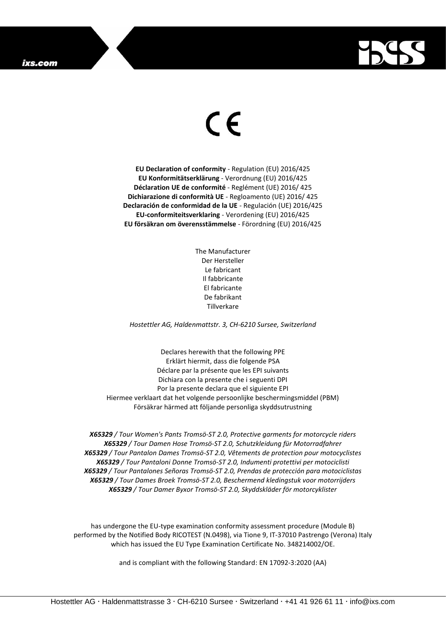## ixs.com



## $\epsilon$

**EU Declaration of conformity** - Regulation (EU) 2016/425 **EU Konformitätserklärung** - Verordnung (EU) 2016/425 **Déclaration UE de conformité** - Reglément (UE) 2016/ 425 **Dichiarazione di conformità UE** - Regloamento (UE) 2016/ 425 **Declaración de conformidad de la UE** - Regulación (UE) 2016/425 **EU-conformiteitsverklaring** - Verordening (EU) 2016/425 **EU försäkran om överensstämmelse** - Förordning (EU) 2016/425

> The Manufacturer Der Hersteller Le fabricant Il fabbricante El fabricante De fabrikant Tillverkare

*Hostettler AG, Haldenmattstr. 3, CH-6210 Sursee, Switzerland*

Declares herewith that the following PPE Erklärt hiermit, dass die folgende PSA Déclare par la présente que les EPI suivants Dichiara con la presente che i seguenti DPI Por la presente declara que el siguiente EPI Hiermee verklaart dat het volgende persoonlijke beschermingsmiddel (PBM) Försäkrar härmed att följande personliga skyddsutrustning

*X65329 / Tour Women's Pants Tromsö-ST 2.0, Protective garments for motorcycle riders X65329 / Tour Damen Hose Tromsö-ST 2.0, Schutzkleidung für Motorradfahrer X65329 / Tour Pantalon Dames Tromsö-ST 2.0, Vêtements de protection pour motocyclistes X65329 / Tour Pantaloni Donne Tromsö-ST 2.0, Indumenti protettivi per motociclisti X65329 / Tour Pantalones Señoras Tromsö-ST 2.0, Prendas de protección para motociclistas X65329 / Tour Dames Broek Tromsö-ST 2.0, Beschermend kledingstuk voor motorrijders X65329 / Tour Damer Byxor Tromsö-ST 2.0, Skyddskläder för motorcyklister*

has undergone the EU-type examination conformity assessment procedure (Module B) performed by the Notified Body RICOTEST (N.0498), via Tione 9, IT-37010 Pastrengo (Verona) Italy which has issued the EU Type Examination Certificate No. 348214002/OE.

and is compliant with the following Standard: EN 17092-3:2020 (AA)